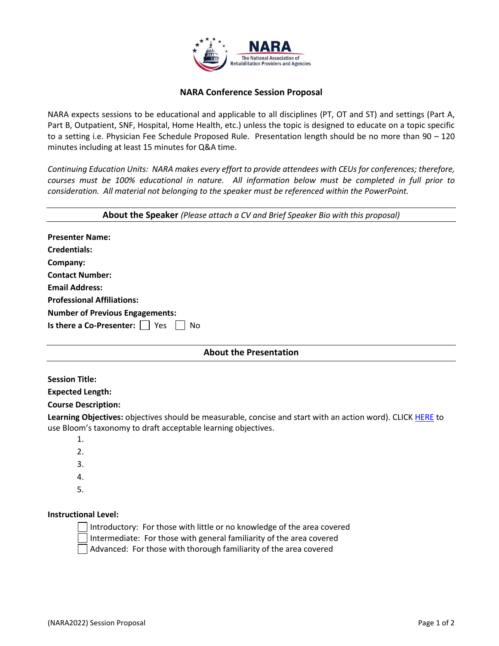

## **NARA Conference Session Proposal**

NARA expects sessions to be educational and applicable to all disciplines (PT, OT and ST) and settings (Part A, Part B, Outpatient, SNF, Hospital, Home Health, etc.) unless the topic is designed to educate on a topic specific to a setting i.e. Physician Fee Schedule Proposed Rule. Presentation length should be no more than 90 – 120 minutes including at least 15 minutes for Q&A time.

*Continuing Education Units: NARA makes every effort to provide attendees with CEUs for conferences; therefore, courses must be 100% educational in nature. All information below must be completed in full prior to consideration. All material not belonging to the speaker must be referenced within the PowerPoint.*

| About the Speaker (Please attach a CV and Brief Speaker Bio with this proposal)                             |
|-------------------------------------------------------------------------------------------------------------|
| <b>Presenter Name:</b>                                                                                      |
| <b>Credentials:</b>                                                                                         |
| Company:                                                                                                    |
| <b>Contact Number:</b>                                                                                      |
| <b>Email Address:</b>                                                                                       |
| <b>Professional Affiliations:</b>                                                                           |
| <b>Number of Previous Engagements:</b>                                                                      |
| Is there a Co-Presenter: $\vert \ \vert$<br>Yes<br>No                                                       |
| <b>About the Presentation</b>                                                                               |
| <b>Session Title:</b>                                                                                       |
| <b>Expected Length:</b>                                                                                     |
| <b>Course Description:</b>                                                                                  |
| Learning Objectives: objectives should be measurable, concise and start with an action word). CLICK HERE to |

use Bloom's taxonomy to draft acceptable learning objectives.

- 1. 2. 3.
- 4.
- 5.

## **Instructional Level:**

Introductory: For those with little or no knowledge of the area covered Intermediate: For those with general familiarity of the area covered Advanced: For those with thorough familiarity of the area covered